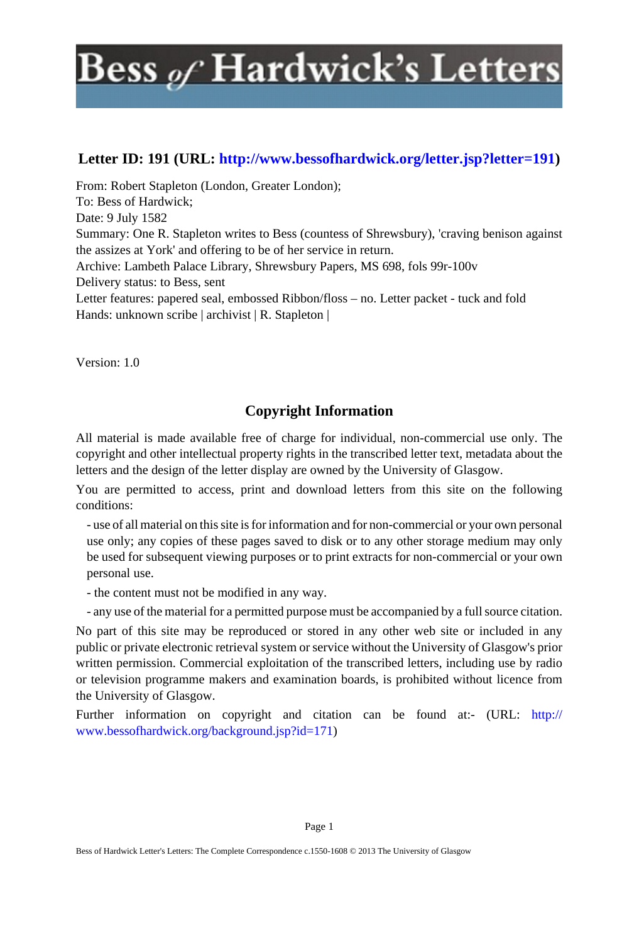### **Letter ID: 191 (URL: [http://www.bessofhardwick.org/letter.jsp?letter=191\)](http://www.bessofhardwick.org/letter.jsp?letter=191)**

From: Robert Stapleton (London, Greater London); To: Bess of Hardwick; Date: 9 July 1582 Summary: One R. Stapleton writes to Bess (countess of Shrewsbury), 'craving benison against the assizes at York' and offering to be of her service in return. Archive: Lambeth Palace Library, Shrewsbury Papers, MS 698, fols 99r-100v Delivery status: to Bess, sent Letter features: papered seal, embossed Ribbon/floss – no. Letter packet - tuck and fold Hands: unknown scribe | archivist | R. Stapleton |

Version: 1.0

### **Copyright Information**

All material is made available free of charge for individual, non-commercial use only. The copyright and other intellectual property rights in the transcribed letter text, metadata about the letters and the design of the letter display are owned by the University of Glasgow.

You are permitted to access, print and download letters from this site on the following conditions:

- use of all material on this site is for information and for non-commercial or your own personal use only; any copies of these pages saved to disk or to any other storage medium may only be used for subsequent viewing purposes or to print extracts for non-commercial or your own personal use.

- the content must not be modified in any way.

- any use of the material for a permitted purpose must be accompanied by a full source citation.

No part of this site may be reproduced or stored in any other web site or included in any public or private electronic retrieval system or service without the University of Glasgow's prior written permission. Commercial exploitation of the transcribed letters, including use by radio or television programme makers and examination boards, is prohibited without licence from the University of Glasgow.

Further information on copyright and citation can be found at:- (URL: [http://](http://www.bessofhardwick.org/background.jsp?id=171) [www.bessofhardwick.org/background.jsp?id=171\)](http://www.bessofhardwick.org/background.jsp?id=171)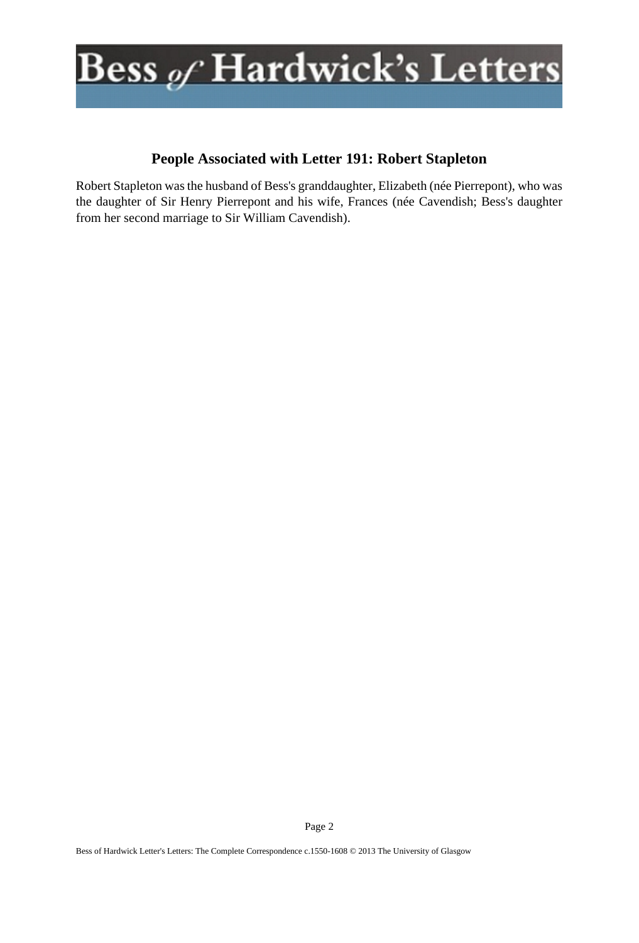

### **People Associated with Letter 191: Robert Stapleton**

Robert Stapleton was the husband of Bess's granddaughter, Elizabeth (née Pierrepont), who was the daughter of Sir Henry Pierrepont and his wife, Frances (née Cavendish; Bess's daughter from her second marriage to Sir William Cavendish).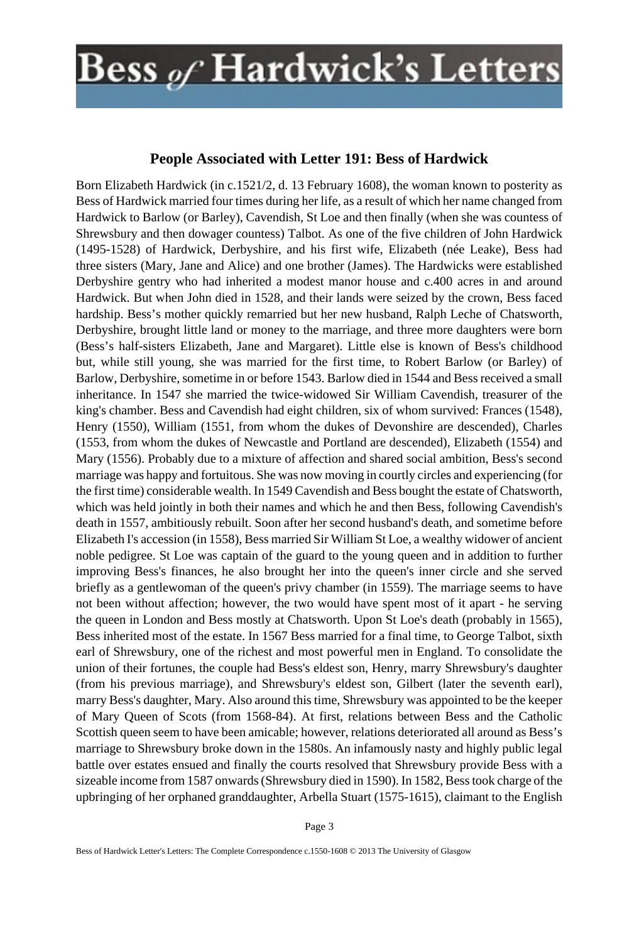#### **People Associated with Letter 191: Bess of Hardwick**

Born Elizabeth Hardwick (in c.1521/2, d. 13 February 1608), the woman known to posterity as Bess of Hardwick married four times during her life, as a result of which her name changed from Hardwick to Barlow (or Barley), Cavendish, St Loe and then finally (when she was countess of Shrewsbury and then dowager countess) Talbot. As one of the five children of John Hardwick (1495-1528) of Hardwick, Derbyshire, and his first wife, Elizabeth (née Leake), Bess had three sisters (Mary, Jane and Alice) and one brother (James). The Hardwicks were established Derbyshire gentry who had inherited a modest manor house and c.400 acres in and around Hardwick. But when John died in 1528, and their lands were seized by the crown, Bess faced hardship. Bess's mother quickly remarried but her new husband, Ralph Leche of Chatsworth, Derbyshire, brought little land or money to the marriage, and three more daughters were born (Bess's half-sisters Elizabeth, Jane and Margaret). Little else is known of Bess's childhood but, while still young, she was married for the first time, to Robert Barlow (or Barley) of Barlow, Derbyshire, sometime in or before 1543. Barlow died in 1544 and Bess received a small inheritance. In 1547 she married the twice-widowed Sir William Cavendish, treasurer of the king's chamber. Bess and Cavendish had eight children, six of whom survived: Frances (1548), Henry (1550), William (1551, from whom the dukes of Devonshire are descended), Charles (1553, from whom the dukes of Newcastle and Portland are descended), Elizabeth (1554) and Mary (1556). Probably due to a mixture of affection and shared social ambition, Bess's second marriage was happy and fortuitous. She was now moving in courtly circles and experiencing (for the first time) considerable wealth. In 1549 Cavendish and Bess bought the estate of Chatsworth, which was held jointly in both their names and which he and then Bess, following Cavendish's death in 1557, ambitiously rebuilt. Soon after her second husband's death, and sometime before Elizabeth I's accession (in 1558), Bess married Sir William St Loe, a wealthy widower of ancient noble pedigree. St Loe was captain of the guard to the young queen and in addition to further improving Bess's finances, he also brought her into the queen's inner circle and she served briefly as a gentlewoman of the queen's privy chamber (in 1559). The marriage seems to have not been without affection; however, the two would have spent most of it apart - he serving the queen in London and Bess mostly at Chatsworth. Upon St Loe's death (probably in 1565), Bess inherited most of the estate. In 1567 Bess married for a final time, to George Talbot, sixth earl of Shrewsbury, one of the richest and most powerful men in England. To consolidate the union of their fortunes, the couple had Bess's eldest son, Henry, marry Shrewsbury's daughter (from his previous marriage), and Shrewsbury's eldest son, Gilbert (later the seventh earl), marry Bess's daughter, Mary. Also around this time, Shrewsbury was appointed to be the keeper of Mary Queen of Scots (from 1568-84). At first, relations between Bess and the Catholic Scottish queen seem to have been amicable; however, relations deteriorated all around as Bess's marriage to Shrewsbury broke down in the 1580s. An infamously nasty and highly public legal battle over estates ensued and finally the courts resolved that Shrewsbury provide Bess with a sizeable income from 1587 onwards (Shrewsbury died in 1590). In 1582, Bess took charge of the upbringing of her orphaned granddaughter, Arbella Stuart (1575-1615), claimant to the English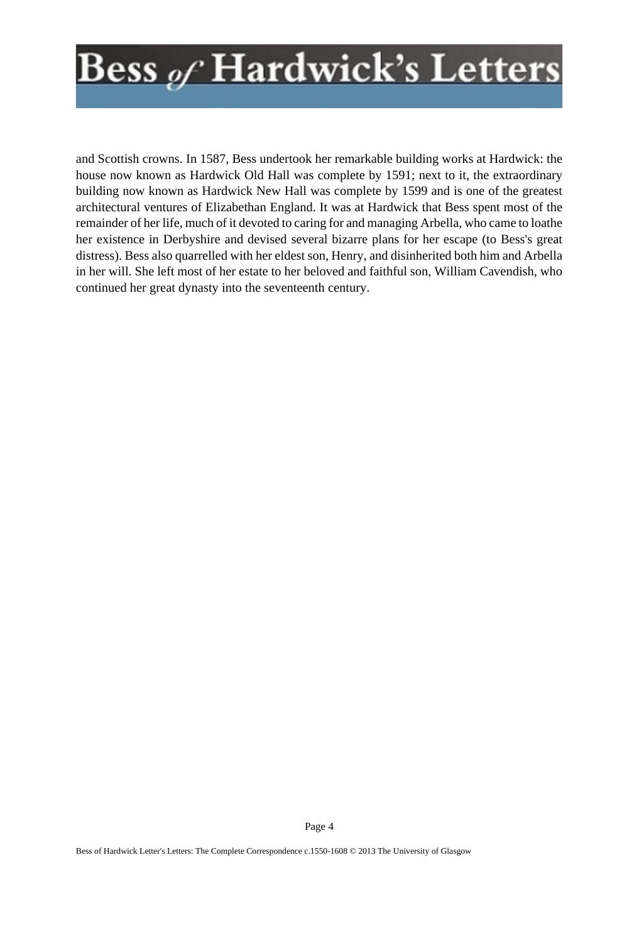and Scottish crowns. In 1587, Bess undertook her remarkable building works at Hardwick: the house now known as Hardwick Old Hall was complete by 1591; next to it, the extraordinary building now known as Hardwick New Hall was complete by 1599 and is one of the greatest architectural ventures of Elizabethan England. It was at Hardwick that Bess spent most of the remainder of her life, much of it devoted to caring for and managing Arbella, who came to loathe her existence in Derbyshire and devised several bizarre plans for her escape (to Bess's great distress). Bess also quarrelled with her eldest son, Henry, and disinherited both him and Arbella in her will. She left most of her estate to her beloved and faithful son, William Cavendish, who continued her great dynasty into the seventeenth century.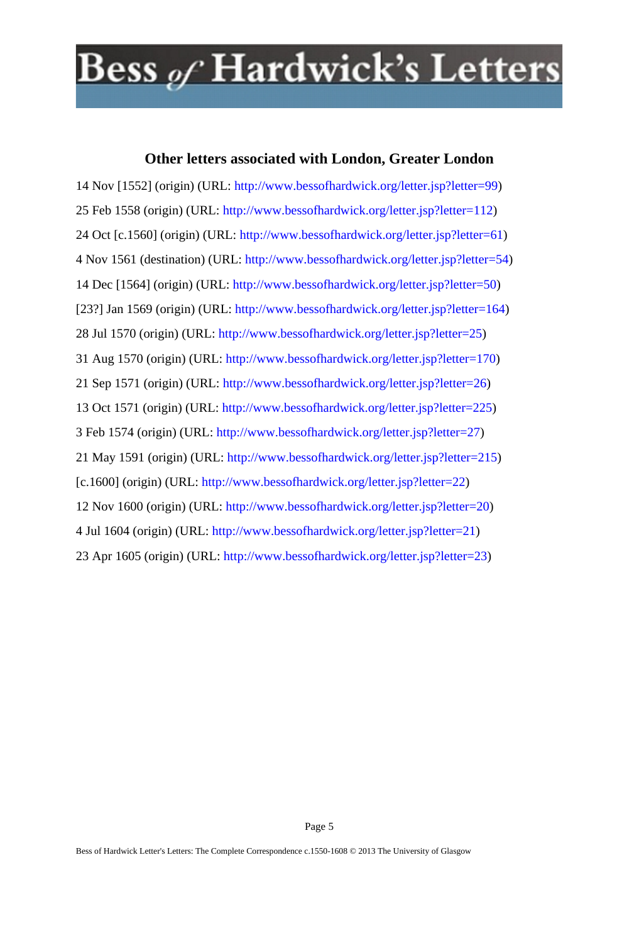#### **Other letters associated with London, Greater London**

14 Nov [1552] (origin) (URL: <http://www.bessofhardwick.org/letter.jsp?letter=99>) 25 Feb 1558 (origin) (URL: [http://www.bessofhardwick.org/letter.jsp?letter=112\)](http://www.bessofhardwick.org/letter.jsp?letter=112) 24 Oct [c.1560] (origin) (URL: <http://www.bessofhardwick.org/letter.jsp?letter=61>) 4 Nov 1561 (destination) (URL: <http://www.bessofhardwick.org/letter.jsp?letter=54>) 14 Dec [1564] (origin) (URL: [http://www.bessofhardwick.org/letter.jsp?letter=50\)](http://www.bessofhardwick.org/letter.jsp?letter=50) [23?] Jan 1569 (origin) (URL: [http://www.bessofhardwick.org/letter.jsp?letter=164\)](http://www.bessofhardwick.org/letter.jsp?letter=164) 28 Jul 1570 (origin) (URL: [http://www.bessofhardwick.org/letter.jsp?letter=25\)](http://www.bessofhardwick.org/letter.jsp?letter=25) 31 Aug 1570 (origin) (URL: <http://www.bessofhardwick.org/letter.jsp?letter=170>) 21 Sep 1571 (origin) (URL: [http://www.bessofhardwick.org/letter.jsp?letter=26\)](http://www.bessofhardwick.org/letter.jsp?letter=26) 13 Oct 1571 (origin) (URL: [http://www.bessofhardwick.org/letter.jsp?letter=225\)](http://www.bessofhardwick.org/letter.jsp?letter=225) 3 Feb 1574 (origin) (URL: [http://www.bessofhardwick.org/letter.jsp?letter=27\)](http://www.bessofhardwick.org/letter.jsp?letter=27) 21 May 1591 (origin) (URL: [http://www.bessofhardwick.org/letter.jsp?letter=215\)](http://www.bessofhardwick.org/letter.jsp?letter=215) [c.1600] (origin) (URL: [http://www.bessofhardwick.org/letter.jsp?letter=22\)](http://www.bessofhardwick.org/letter.jsp?letter=22) 12 Nov 1600 (origin) (URL: <http://www.bessofhardwick.org/letter.jsp?letter=20>) 4 Jul 1604 (origin) (URL: [http://www.bessofhardwick.org/letter.jsp?letter=21\)](http://www.bessofhardwick.org/letter.jsp?letter=21) 23 Apr 1605 (origin) (URL: <http://www.bessofhardwick.org/letter.jsp?letter=23>)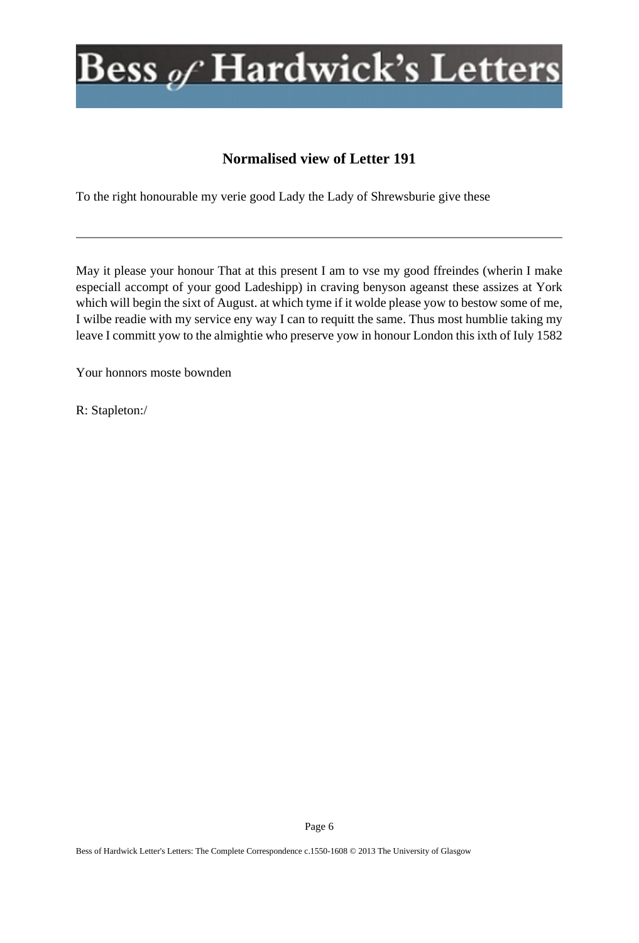### **Normalised view of Letter 191**

To the right honourable my verie good Lady the Lady of Shrewsburie give these

May it please your honour That at this present I am to vse my good ffreindes (wherin I make especiall accompt of your good Ladeshipp) in craving benyson ageanst these assizes at York which will begin the sixt of August. at which tyme if it wolde please yow to bestow some of me, I wilbe readie with my service eny way I can to requitt the same. Thus most humblie taking my leave I committ yow to the almightie who preserve yow in honour London this ixth of Iuly 1582

Your honnors moste bownden

R: Stapleton:/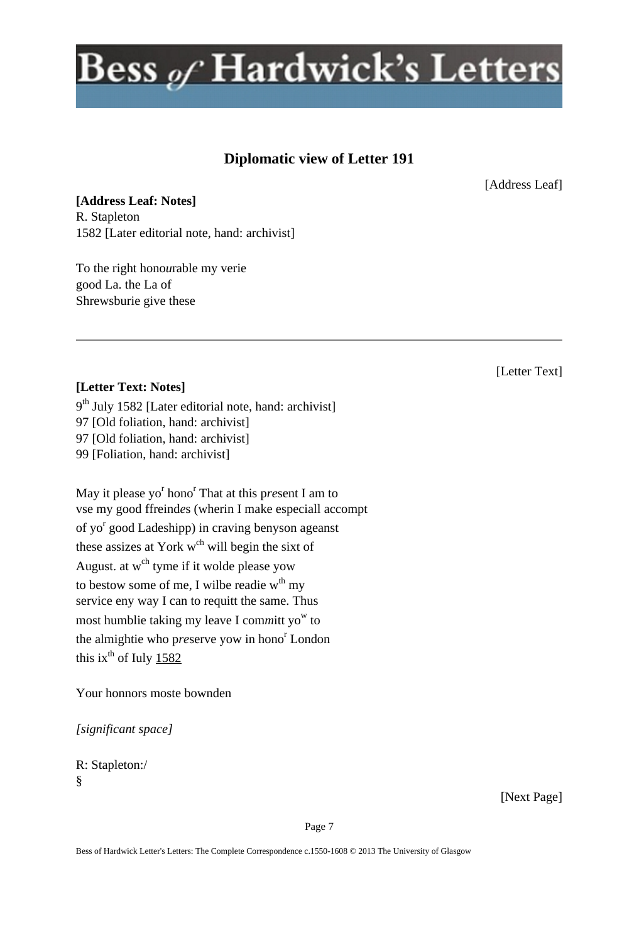### **Diplomatic view of Letter 191**

[Address Leaf]

**[Address Leaf: Notes]** R. Stapleton 1582 [Later editorial note, hand: archivist]

To the right hono*u*rable my verie good La. the La of Shrewsburie give these

### [Letter Text]

#### **[Letter Text: Notes]**

9<sup>th</sup> July 1582 [Later editorial note, hand: archivist] 97 [Old foliation, hand: archivist] 97 [Old foliation, hand: archivist] 99 [Foliation, hand: archivist]

May it please yo<sup>r</sup> hono<sup>r</sup> That at this present I am to vse my good ffreind*e*s (wherin I make especiall accompt of yo<sup>r</sup> good Ladeshipp) in craving benyson ageanst these assizes at York  $w<sup>ch</sup>$  will begin the sixt of August. at w<sup>ch</sup> tyme if it wolde please yow to bestow some of me, I wilbe readie  $w<sup>th</sup>$  my service eny way I can to requitt the same. Thus most humblie taking my leave I committ yo<sup>w</sup> to the almightie who preserve yow in hono<sup>r</sup> London this ix $^{th}$  of Iuly 1582

Your honnors moste bownden

*[significant space]*

R: Stapleton:/ §

[Next Page]